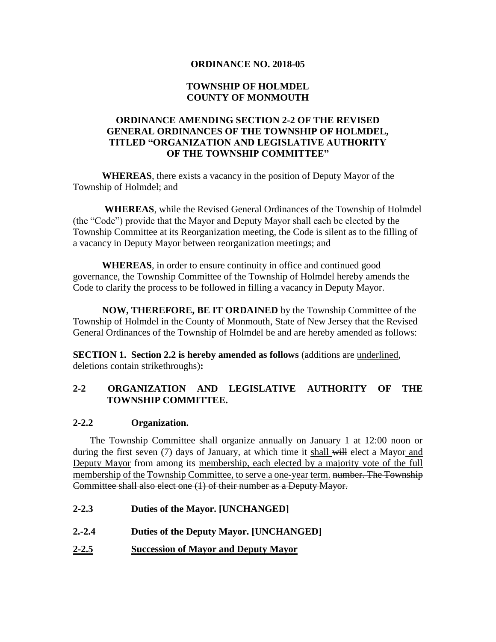#### **ORDINANCE NO. 2018-05**

## **TOWNSHIP OF HOLMDEL COUNTY OF MONMOUTH**

## **ORDINANCE AMENDING SECTION 2-2 OF THE REVISED GENERAL ORDINANCES OF THE TOWNSHIP OF HOLMDEL, TITLED "ORGANIZATION AND LEGISLATIVE AUTHORITY OF THE TOWNSHIP COMMITTEE"**

**WHEREAS**, there exists a vacancy in the position of Deputy Mayor of the Township of Holmdel; and

**WHEREAS**, while the Revised General Ordinances of the Township of Holmdel (the "Code") provide that the Mayor and Deputy Mayor shall each be elected by the Township Committee at its Reorganization meeting, the Code is silent as to the filling of a vacancy in Deputy Mayor between reorganization meetings; and

**WHEREAS**, in order to ensure continuity in office and continued good governance, the Township Committee of the Township of Holmdel hereby amends the Code to clarify the process to be followed in filling a vacancy in Deputy Mayor.

**NOW, THEREFORE, BE IT ORDAINED** by the Township Committee of the Township of Holmdel in the County of Monmouth, State of New Jersey that the Revised General Ordinances of the Township of Holmdel be and are hereby amended as follows:

**SECTION 1. Section 2.2 is hereby amended as follows** (additions are underlined, deletions contain strikethroughs)**:**

### **2-2 ORGANIZATION AND LEGISLATIVE AUTHORITY OF THE TOWNSHIP COMMITTEE.**

#### **2-2.2 Organization.**

The Township Committee shall organize annually on January 1 at 12:00 noon or during the first seven (7) days of January, at which time it shall will elect a Mayor and Deputy Mayor from among its membership, each elected by a majority vote of the full membership of the Township Committee, to serve a one-year term. number. The Township Committee shall also elect one (1) of their number as a Deputy Mayor.

- **2-2.3 Duties of the Mayor. [UNCHANGED]**
- **2.-2.4 Duties of the Deputy Mayor. [UNCHANGED]**
- **2-2.5 Succession of Mayor and Deputy Mayor**